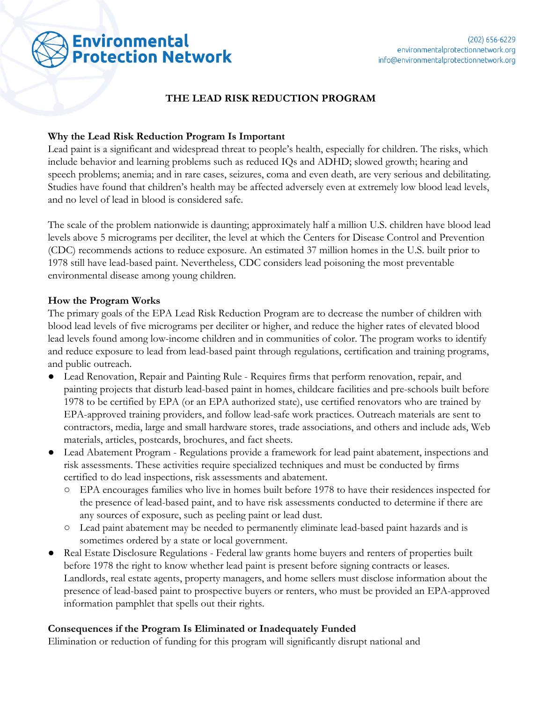# **THE LEAD RISK REDUCTION PROGRAM**

#### **Why the Lead Risk Reduction Program Is Important**

Lead paint is a significant and widespread threat to people's health, especially for children. The risks, which include behavior and learning problems such as reduced IQs and ADHD; slowed growth; hearing and speech problems; anemia; and in rare cases, seizures, coma and even death, are very serious and debilitating. Studies have found that children's health may be affected adversely even at extremely low blood lead levels, and no level of lead in blood is considered safe.

The scale of the problem nationwide is daunting; approximately half a million U.S. children have blood lead levels above 5 micrograms per deciliter, the level at which the Centers for Disease Control and Prevention (CDC) recommends actions to reduce exposure. An estimated 37 million homes in the U.S. built prior to 1978 still have lead-based paint. Nevertheless, CDC considers lead poisoning the most preventable environmental disease among young children.

#### **How the Program Works**

The primary goals of the EPA Lead Risk Reduction Program are to decrease the number of children with blood lead levels of five micrograms per deciliter or higher, and reduce the higher rates of elevated blood lead levels found among low-income children and in communities of color. The program works to identify and reduce exposure to lead from lead-based paint through regulations, certification and training programs, and public outreach.

- Lead Renovation, Repair and Painting Rule Requires firms that perform renovation, repair, and painting projects that disturb lead-based paint in homes, childcare facilities and pre-schools built before 1978 to be certified by EPA (or an EPA authorized state), use certified renovators who are trained by EPA-approved training providers, and follow lead-safe work practices. Outreach materials are sent to contractors, media, large and small hardware stores, trade associations, and others and include ads, Web materials, articles, postcards, brochures, and fact sheets.
- Lead Abatement Program Regulations provide a framework for lead paint abatement, inspections and risk assessments. These activities require specialized techniques and must be conducted by firms certified to do lead inspections, risk assessments and abatement.
	- EPA encourages families who live in homes built before 1978 to have their residences inspected for the presence of lead-based paint, and to have risk assessments conducted to determine if there are any sources of exposure, such as peeling paint or lead dust.
	- Lead paint abatement may be needed to permanently eliminate lead-based paint hazards and is sometimes ordered by a state or local government.
- Real Estate Disclosure Regulations Federal law grants home buyers and renters of properties built before 1978 the right to know whether lead paint is present before signing contracts or leases. Landlords, real estate agents, property managers, and home sellers must disclose information about the presence of lead-based paint to prospective buyers or renters, who must be provided an EPA-approved information pamphlet that spells out their rights.

# **Consequences if the Program Is Eliminated or Inadequately Funded**

Elimination or reduction of funding for this program will significantly disrupt national and